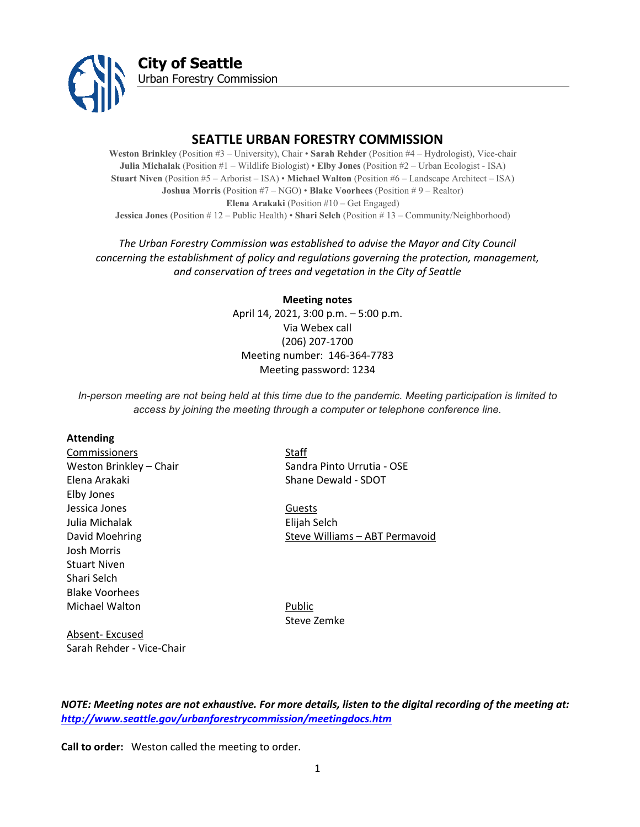

**City of Seattle** Urban Forestry Commission

# **SEATTLE URBAN FORESTRY COMMISSION**

**Weston Brinkley** (Position #3 – University), Chair • **Sarah Rehder** (Position #4 – Hydrologist), Vice-chair **Julia Michalak** (Position #1 – Wildlife Biologist) • **Elby Jones** (Position #2 – Urban Ecologist - ISA) **Stuart Niven** (Position #5 – Arborist – ISA) • **Michael Walton** (Position #6 – Landscape Architect – ISA) **Joshua Morris** (Position #7 – NGO) • **Blake Voorhees** (Position # 9 – Realtor) **Elena Arakaki** (Position #10 – Get Engaged) **Jessica Jones** (Position # 12 – Public Health) • **Shari Selch** (Position # 13 – Community/Neighborhood)

# *The Urban Forestry Commission was established to advise the Mayor and City Council concerning the establishment of policy and regulations governing the protection, management, and conservation of trees and vegetation in the City of Seattle*

**Meeting notes** April 14, 2021, 3:00 p.m. – 5:00 p.m. Via Webex call (206) 207-1700 Meeting number: 146-364-7783 Meeting password: 1234

*In-person meeting are not being held at this time due to the pandemic. Meeting participation is limited to access by joining the meeting through a computer or telephone conference line.*

#### **Attending**

Commissioners Staff Elena Arakaki Naman Shane Dewald - SDOT Elby Jones Jessica Jones **Guests** Julia Michalak Elijah Selch Josh Morris Stuart Niven Shari Selch Blake Voorhees Michael Walton **Public** 

Weston Brinkley – Chair Sandra Pinto Urrutia - OSE

David Moehring **Steve Williams – ABT Permavoid** 

Steve Zemke

Absent- Excused Sarah Rehder - Vice-Chair

*NOTE: Meeting notes are not exhaustive. For more details, listen to the digital recording of the meeting at: <http://www.seattle.gov/urbanforestrycommission/meetingdocs.htm>*

**Call to order:** Weston called the meeting to order.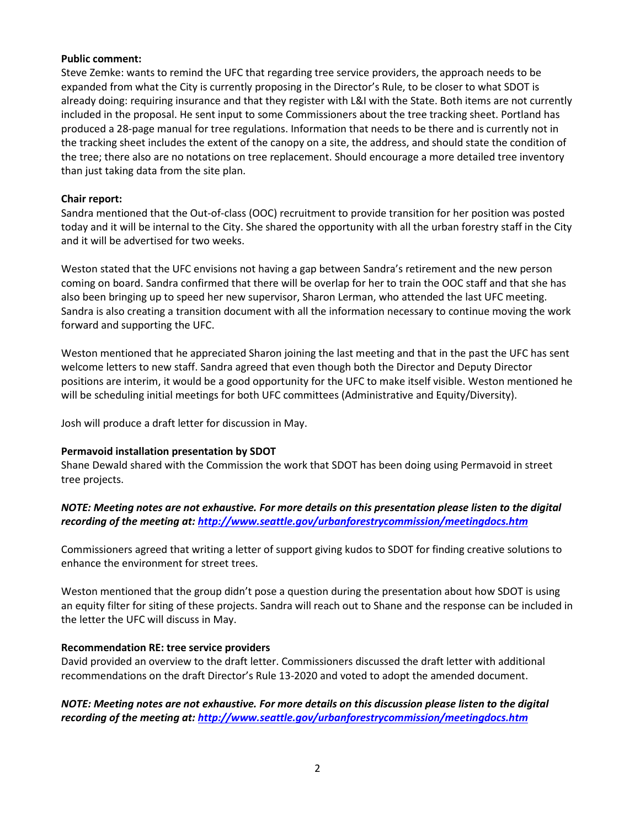### **Public comment:**

Steve Zemke: wants to remind the UFC that regarding tree service providers, the approach needs to be expanded from what the City is currently proposing in the Director's Rule, to be closer to what SDOT is already doing: requiring insurance and that they register with L&I with the State. Both items are not currently included in the proposal. He sent input to some Commissioners about the tree tracking sheet. Portland has produced a 28-page manual for tree regulations. Information that needs to be there and is currently not in the tracking sheet includes the extent of the canopy on a site, the address, and should state the condition of the tree; there also are no notations on tree replacement. Should encourage a more detailed tree inventory than just taking data from the site plan.

# **Chair report:**

Sandra mentioned that the Out-of-class (OOC) recruitment to provide transition for her position was posted today and it will be internal to the City. She shared the opportunity with all the urban forestry staff in the City and it will be advertised for two weeks.

Weston stated that the UFC envisions not having a gap between Sandra's retirement and the new person coming on board. Sandra confirmed that there will be overlap for her to train the OOC staff and that she has also been bringing up to speed her new supervisor, Sharon Lerman, who attended the last UFC meeting. Sandra is also creating a transition document with all the information necessary to continue moving the work forward and supporting the UFC.

Weston mentioned that he appreciated Sharon joining the last meeting and that in the past the UFC has sent welcome letters to new staff. Sandra agreed that even though both the Director and Deputy Director positions are interim, it would be a good opportunity for the UFC to make itself visible. Weston mentioned he will be scheduling initial meetings for both UFC committees (Administrative and Equity/Diversity).

Josh will produce a draft letter for discussion in May.

# **Permavoid installation presentation by SDOT**

Shane Dewald shared with the Commission the work that SDOT has been doing using Permavoid in street tree projects.

# *NOTE: Meeting notes are not exhaustive. For more details on this presentation please listen to the digital recording of the meeting at:<http://www.seattle.gov/urbanforestrycommission/meetingdocs.htm>*

Commissioners agreed that writing a letter of support giving kudos to SDOT for finding creative solutions to enhance the environment for street trees.

Weston mentioned that the group didn't pose a question during the presentation about how SDOT is using an equity filter for siting of these projects. Sandra will reach out to Shane and the response can be included in the letter the UFC will discuss in May.

# **Recommendation RE: tree service providers**

David provided an overview to the draft letter. Commissioners discussed the draft letter with additional recommendations on the draft Director's Rule 13-2020 and voted to adopt the amended document.

*NOTE: Meeting notes are not exhaustive. For more details on this discussion please listen to the digital recording of the meeting at:<http://www.seattle.gov/urbanforestrycommission/meetingdocs.htm>*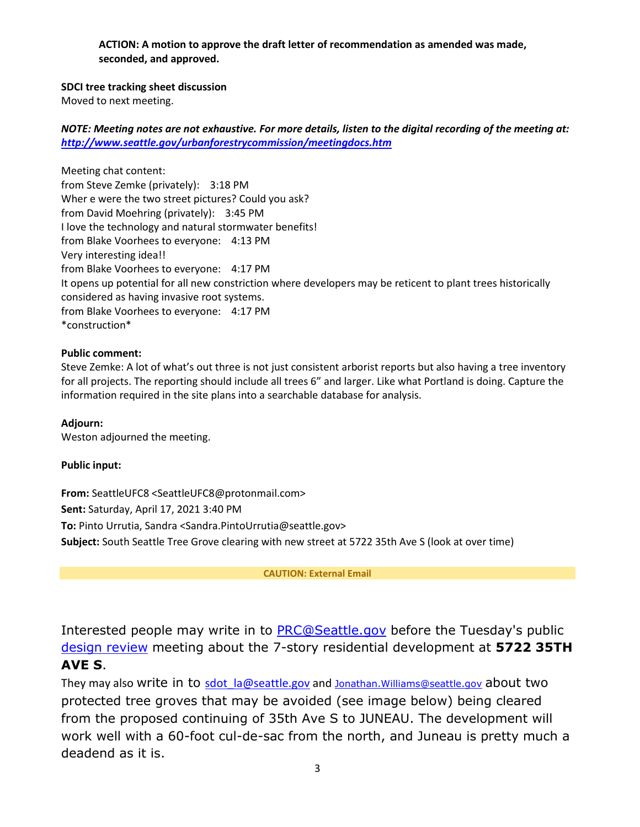**ACTION: A motion to approve the draft letter of recommendation as amended was made, seconded, and approved.** 

**SDCI tree tracking sheet discussion**

Moved to next meeting.

*NOTE: Meeting notes are not exhaustive. For more details, listen to the digital recording of the meeting at: <http://www.seattle.gov/urbanforestrycommission/meetingdocs.htm>*

Meeting chat content: from Steve Zemke (privately): 3:18 PM Wher e were the two street pictures? Could you ask? from David Moehring (privately): 3:45 PM I love the technology and natural stormwater benefits! from Blake Voorhees to everyone: 4:13 PM Very interesting idea!! from Blake Voorhees to everyone: 4:17 PM It opens up potential for all new constriction where developers may be reticent to plant trees historically considered as having invasive root systems. from Blake Voorhees to everyone: 4:17 PM \*construction\*

# **Public comment:**

Steve Zemke: A lot of what's out three is not just consistent arborist reports but also having a tree inventory for all projects. The reporting should include all trees 6" and larger. Like what Portland is doing. Capture the information required in the site plans into a searchable database for analysis.

**Adjourn:** 

Weston adjourned the meeting.

# **Public input:**

**From:** SeattleUFC8 <SeattleUFC8@protonmail.com> **Sent:** Saturday, April 17, 2021 3:40 PM **To:** Pinto Urrutia, Sandra <Sandra.PintoUrrutia@seattle.gov> **Subject:** South Seattle Tree Grove clearing with new street at 5722 35th Ave S (look at over time)

**CAUTION: External Email**

Interested people may write in to [PRC@Seattle.gov](mailto:PRC@Seattle.gov,%20sdot_la@seattle.gov,%20Jonathan.Williams@seattle.gov?subject=Development%20options%20needed%20at%205722%2035th%20Ave%20S%20with%20over%20100%20trees&body=Dear%20Seattle%20Resource%20Center%20and%20SDOT%2C%0A%0AMy%20name%20is%20....) before the Tuesday's public [design review](https://web6.seattle.gov/dpd/edms/GetDocument.aspx?id=6341788) meeting about the 7-story residential development at **5722 35TH AVE S**.

They may also write in to sdot la@seattle.gov and Jonathan. Williams@seattle.gov about two protected tree groves that may be avoided (see image below) being cleared from the proposed continuing of 35th Ave S to JUNEAU. The development will work well with a 60-foot cul-de-sac from the north, and Juneau is pretty much a deadend as it is.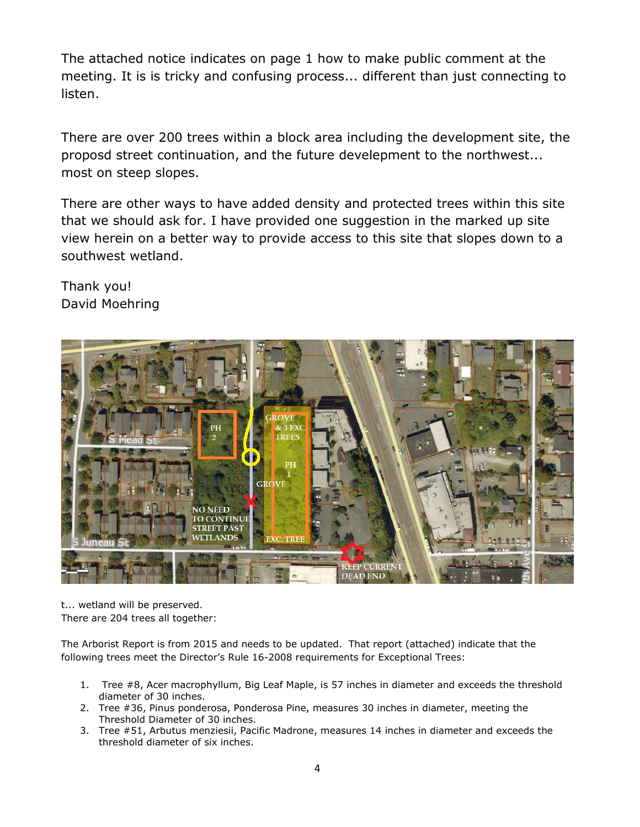The attached notice indicates on page 1 how to make public comment at the meeting. It is is tricky and confusing process... different than just connecting to listen.

There are over 200 trees within a block area including the development site, the proposd street continuation, and the future develepment to the northwest... most on steep slopes.

There are other ways to have added density and protected trees within this site that we should ask for. I have provided one suggestion in the marked up site view herein on a better way to provide access to this site that slopes down to a southwest wetland.

Thank you! David Moehring



t... wetland will be preserved. There are 204 trees all together:

The Arborist Report is from 2015 and needs to be updated. That report (attached) indicate that the following trees meet the Director's Rule 16-2008 requirements for Exceptional Trees:

- 1. Tree #8, Acer macrophyllum, Big Leaf Maple, is 57 inches in diameter and exceeds the threshold diameter of 30 inches.
- 2. Tree #36, Pinus ponderosa, Ponderosa Pine, measures 30 inches in diameter, meeting the Threshold Diameter of 30 inches.
- 3. Tree #51, Arbutus menziesii, Pacific Madrone, measures 14 inches in diameter and exceeds the threshold diameter of six inches.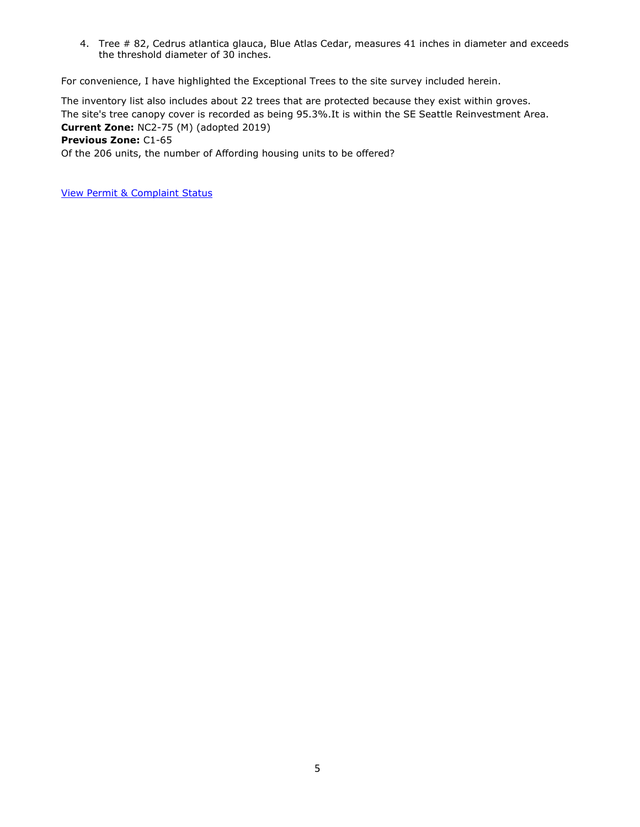4. Tree # 82, Cedrus atlantica glauca, Blue Atlas Cedar, measures 41 inches in diameter and exceeds the threshold diameter of 30 inches.

For convenience, I have highlighted the Exceptional Trees to the site survey included herein.

The inventory list also includes about 22 trees that are protected because they exist within groves. The site's tree canopy cover is recorded as being 95.3%.It is within the SE Seattle Reinvestment Area. **Current Zone:** NC2-75 (M) (adopted 2019) **Previous Zone:** C1-65

Of the 206 units, the number of Affording housing units to be offered?

[View Permit & Complaint Status](http://web6.seattle.gov/DPD/permitstatus/Address.aspx?addr=5722,,35TH,AVE,S)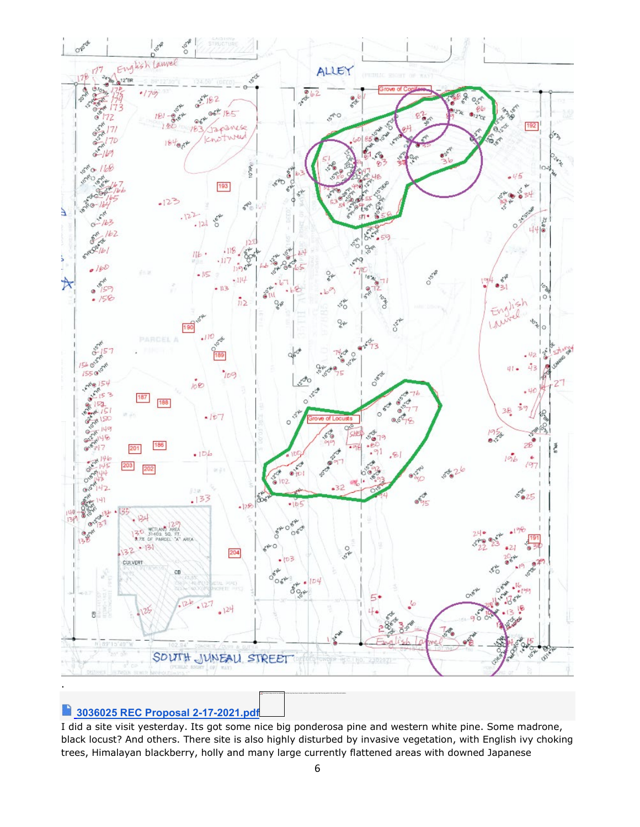

#### D **3036025 REC [Proposal](https://protect2.fireeye.com/v1/url?k=97e8cc52-c873f565-97e8e4e2-86ab8bdaf1e2-841818486cfc4f47&q=1&e=6a378653-454d-4341-b054-1c79cd81016a&u=https%3A%2F%2Fdrive.google.com%2Ffile%2Fd%2F1bnetDzBAlq3YraQeoho44fqbG4skWv8X%2Fview%3Fusp%3Ddrive_web) 2-17[-2021.pdf](https://protect2.fireeye.com/v1/url?k=97e8cc52-c873f565-97e8e4e2-86ab8bdaf1e2-841818486cfc4f47&q=1&e=6a378653-454d-4341-b054-1c79cd81016a&u=https%3A%2F%2Fdrive.google.com%2Ffile%2Fd%2F1bnetDzBAlq3YraQeoho44fqbG4skWv8X%2Fview%3Fusp%3Ddrive_web)**

I did a site visit yesterday. Its got some nice big ponderosa pine and western white pine. Some madrone, black locust? And others. There site is also highly disturbed by invasive vegetation, with English ivy choking trees, Himalayan blackberry, holly and many large currently flattened areas with downed Japanese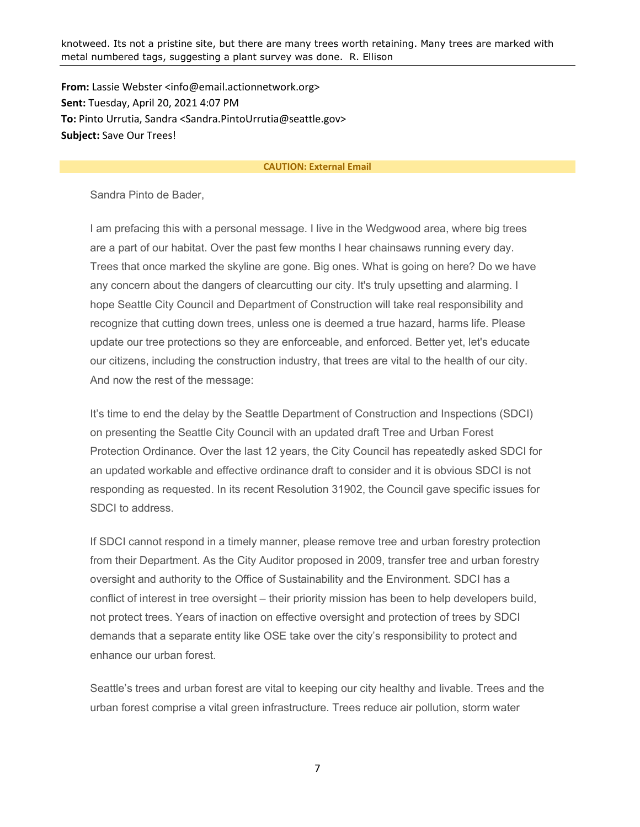knotweed. Its not a pristine site, but there are many trees worth retaining. Many trees are marked with metal numbered tags, suggesting a plant survey was done. R. Ellison

**From:** Lassie Webster <info@email.actionnetwork.org> **Sent:** Tuesday, April 20, 2021 4:07 PM **To:** Pinto Urrutia, Sandra <Sandra.PintoUrrutia@seattle.gov> **Subject:** Save Our Trees!

#### **CAUTION: External Email**

Sandra Pinto de Bader,

I am prefacing this with a personal message. I live in the Wedgwood area, where big trees are a part of our habitat. Over the past few months I hear chainsaws running every day. Trees that once marked the skyline are gone. Big ones. What is going on here? Do we have any concern about the dangers of clearcutting our city. It's truly upsetting and alarming. I hope Seattle City Council and Department of Construction will take real responsibility and recognize that cutting down trees, unless one is deemed a true hazard, harms life. Please update our tree protections so they are enforceable, and enforced. Better yet, let's educate our citizens, including the construction industry, that trees are vital to the health of our city. And now the rest of the message:

It's time to end the delay by the Seattle Department of Construction and Inspections (SDCI) on presenting the Seattle City Council with an updated draft Tree and Urban Forest Protection Ordinance. Over the last 12 years, the City Council has repeatedly asked SDCI for an updated workable and effective ordinance draft to consider and it is obvious SDCI is not responding as requested. In its recent Resolution 31902, the Council gave specific issues for SDCI to address.

If SDCI cannot respond in a timely manner, please remove tree and urban forestry protection from their Department. As the City Auditor proposed in 2009, transfer tree and urban forestry oversight and authority to the Office of Sustainability and the Environment. SDCI has a conflict of interest in tree oversight – their priority mission has been to help developers build, not protect trees. Years of inaction on effective oversight and protection of trees by SDCI demands that a separate entity like OSE take over the city's responsibility to protect and enhance our urban forest.

Seattle's trees and urban forest are vital to keeping our city healthy and livable. Trees and the urban forest comprise a vital green infrastructure. Trees reduce air pollution, storm water

7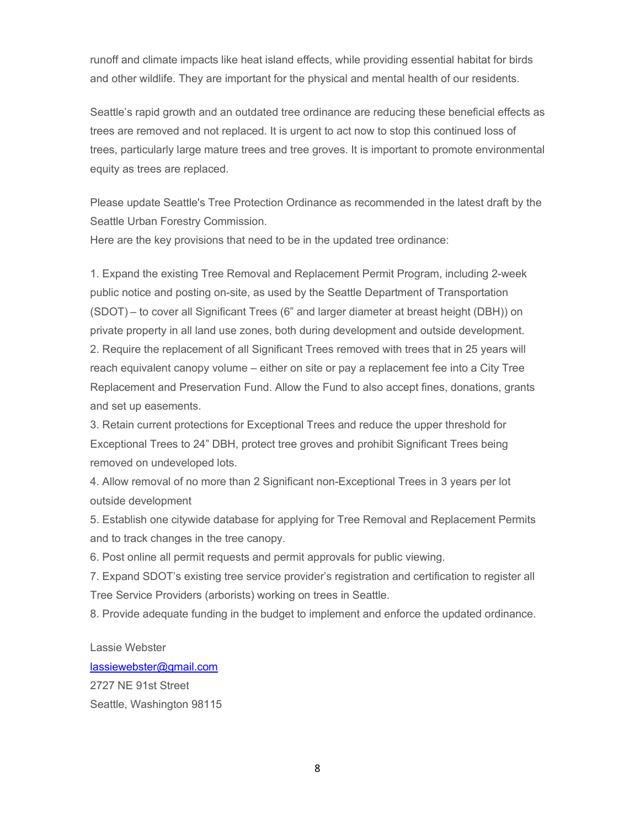runoff and climate impacts like heat island effects, while providing essential habitat for birds and other wildlife. They are important for the physical and mental health of our residents.

Seattle's rapid growth and an outdated tree ordinance are reducing these beneficial effects as trees are removed and not replaced. It is urgent to act now to stop this continued loss of trees, particularly large mature trees and tree groves. It is important to promote environmental equity as trees are replaced.

Please update Seattle's Tree Protection Ordinance as recommended in the latest draft by the Seattle Urban Forestry Commission.

Here are the key provisions that need to be in the updated tree ordinance:

1. Expand the existing Tree Removal and Replacement Permit Program, including 2-week public notice and posting on-site, as used by the Seattle Department of Transportation (SDOT) – to cover all Significant Trees (6" and larger diameter at breast height (DBH)) on private property in all land use zones, both during development and outside development. 2. Require the replacement of all Significant Trees removed with trees that in 25 years will reach equivalent canopy volume – either on site or pay a replacement fee into a City Tree Replacement and Preservation Fund. Allow the Fund to also accept fines, donations, grants and set up easements.

3. Retain current protections for Exceptional Trees and reduce the upper threshold for Exceptional Trees to 24" DBH, protect tree groves and prohibit Significant Trees being removed on undeveloped lots.

4. Allow removal of no more than 2 Significant non-Exceptional Trees in 3 years per lot outside development

5. Establish one citywide database for applying for Tree Removal and Replacement Permits and to track changes in the tree canopy.

6. Post online all permit requests and permit approvals for public viewing.

7. Expand SDOT's existing tree service provider's registration and certification to register all Tree Service Providers (arborists) working on trees in Seattle.

8. Provide adequate funding in the budget to implement and enforce the updated ordinance.

Lassie Webster

[lassiewebster@gmail.com](mailto:lassiewebster@gmail.com)

2727 NE 91st Street Seattle, Washington 98115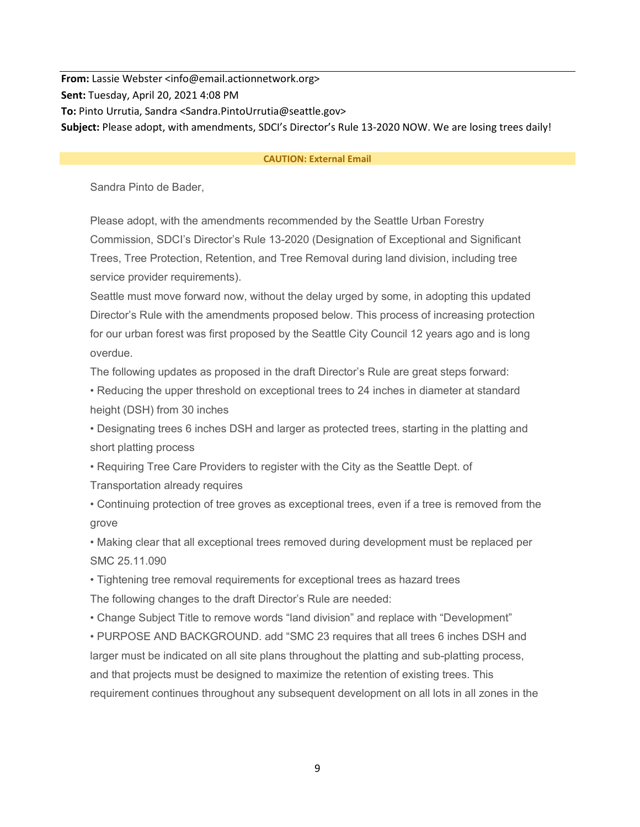**From:** Lassie Webster <info@email.actionnetwork.org> **Sent:** Tuesday, April 20, 2021 4:08 PM **To:** Pinto Urrutia, Sandra <Sandra.PintoUrrutia@seattle.gov> **Subject:** Please adopt, with amendments, SDCI's Director's Rule 13-2020 NOW. We are losing trees daily!

#### **CAUTION: External Email**

Sandra Pinto de Bader,

Please adopt, with the amendments recommended by the Seattle Urban Forestry Commission, SDCI's Director's Rule 13-2020 (Designation of Exceptional and Significant Trees, Tree Protection, Retention, and Tree Removal during land division, including tree service provider requirements).

Seattle must move forward now, without the delay urged by some, in adopting this updated Director's Rule with the amendments proposed below. This process of increasing protection for our urban forest was first proposed by the Seattle City Council 12 years ago and is long overdue.

The following updates as proposed in the draft Director's Rule are great steps forward:

• Reducing the upper threshold on exceptional trees to 24 inches in diameter at standard height (DSH) from 30 inches

• Designating trees 6 inches DSH and larger as protected trees, starting in the platting and short platting process

• Requiring Tree Care Providers to register with the City as the Seattle Dept. of

Transportation already requires

• Continuing protection of tree groves as exceptional trees, even if a tree is removed from the grove

• Making clear that all exceptional trees removed during development must be replaced per SMC 25.11.090

• Tightening tree removal requirements for exceptional trees as hazard trees The following changes to the draft Director's Rule are needed:

• Change Subject Title to remove words "land division" and replace with "Development"

• PURPOSE AND BACKGROUND. add "SMC 23 requires that all trees 6 inches DSH and larger must be indicated on all site plans throughout the platting and sub-platting process, and that projects must be designed to maximize the retention of existing trees. This requirement continues throughout any subsequent development on all lots in all zones in the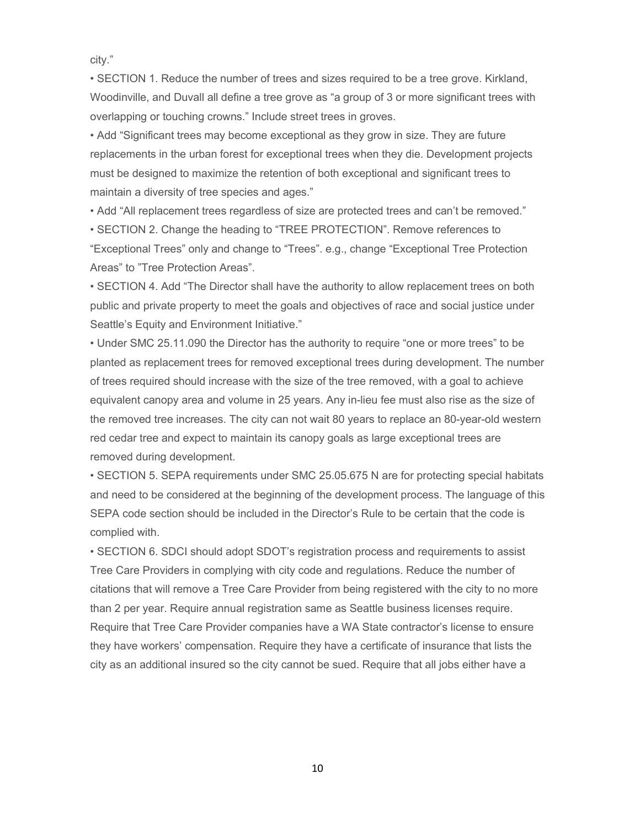city."

• SECTION 1. Reduce the number of trees and sizes required to be a tree grove. Kirkland, Woodinville, and Duvall all define a tree grove as "a group of 3 or more significant trees with overlapping or touching crowns." Include street trees in groves.

• Add "Significant trees may become exceptional as they grow in size. They are future replacements in the urban forest for exceptional trees when they die. Development projects must be designed to maximize the retention of both exceptional and significant trees to maintain a diversity of tree species and ages."

• Add "All replacement trees regardless of size are protected trees and can't be removed."

• SECTION 2. Change the heading to "TREE PROTECTION". Remove references to "Exceptional Trees" only and change to "Trees". e.g., change "Exceptional Tree Protection Areas" to "Tree Protection Areas".

• SECTION 4. Add "The Director shall have the authority to allow replacement trees on both public and private property to meet the goals and objectives of race and social justice under Seattle's Equity and Environment Initiative."

• Under SMC 25.11.090 the Director has the authority to require "one or more trees" to be planted as replacement trees for removed exceptional trees during development. The number of trees required should increase with the size of the tree removed, with a goal to achieve equivalent canopy area and volume in 25 years. Any in-lieu fee must also rise as the size of the removed tree increases. The city can not wait 80 years to replace an 80-year-old western red cedar tree and expect to maintain its canopy goals as large exceptional trees are removed during development.

• SECTION 5. SEPA requirements under SMC 25.05.675 N are for protecting special habitats and need to be considered at the beginning of the development process. The language of this SEPA code section should be included in the Director's Rule to be certain that the code is complied with.

• SECTION 6. SDCI should adopt SDOT's registration process and requirements to assist Tree Care Providers in complying with city code and regulations. Reduce the number of citations that will remove a Tree Care Provider from being registered with the city to no more than 2 per year. Require annual registration same as Seattle business licenses require. Require that Tree Care Provider companies have a WA State contractor's license to ensure they have workers' compensation. Require they have a certificate of insurance that lists the city as an additional insured so the city cannot be sued. Require that all jobs either have a

10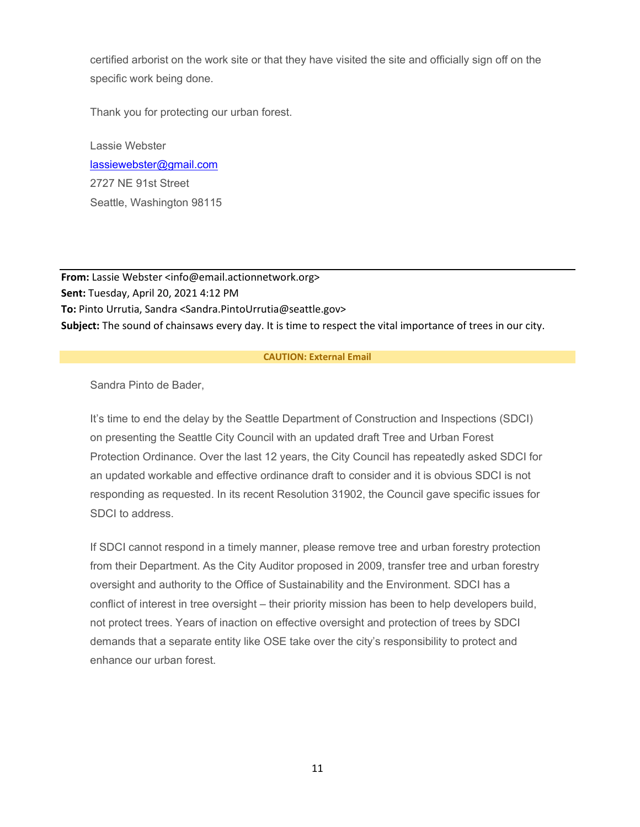certified arborist on the work site or that they have visited the site and officially sign off on the specific work being done.

Thank you for protecting our urban forest.

Lassie Webster [lassiewebster@gmail.com](mailto:lassiewebster@gmail.com) 2727 NE 91st Street Seattle, Washington 98115

**From:** Lassie Webster <info@email.actionnetwork.org> **Sent:** Tuesday, April 20, 2021 4:12 PM **To:** Pinto Urrutia, Sandra <Sandra.PintoUrrutia@seattle.gov> **Subject:** The sound of chainsaws every day. It is time to respect the vital importance of trees in our city.

#### **CAUTION: External Email**

Sandra Pinto de Bader,

It's time to end the delay by the Seattle Department of Construction and Inspections (SDCI) on presenting the Seattle City Council with an updated draft Tree and Urban Forest Protection Ordinance. Over the last 12 years, the City Council has repeatedly asked SDCI for an updated workable and effective ordinance draft to consider and it is obvious SDCI is not responding as requested. In its recent Resolution 31902, the Council gave specific issues for SDCI to address.

If SDCI cannot respond in a timely manner, please remove tree and urban forestry protection from their Department. As the City Auditor proposed in 2009, transfer tree and urban forestry oversight and authority to the Office of Sustainability and the Environment. SDCI has a conflict of interest in tree oversight – their priority mission has been to help developers build, not protect trees. Years of inaction on effective oversight and protection of trees by SDCI demands that a separate entity like OSE take over the city's responsibility to protect and enhance our urban forest.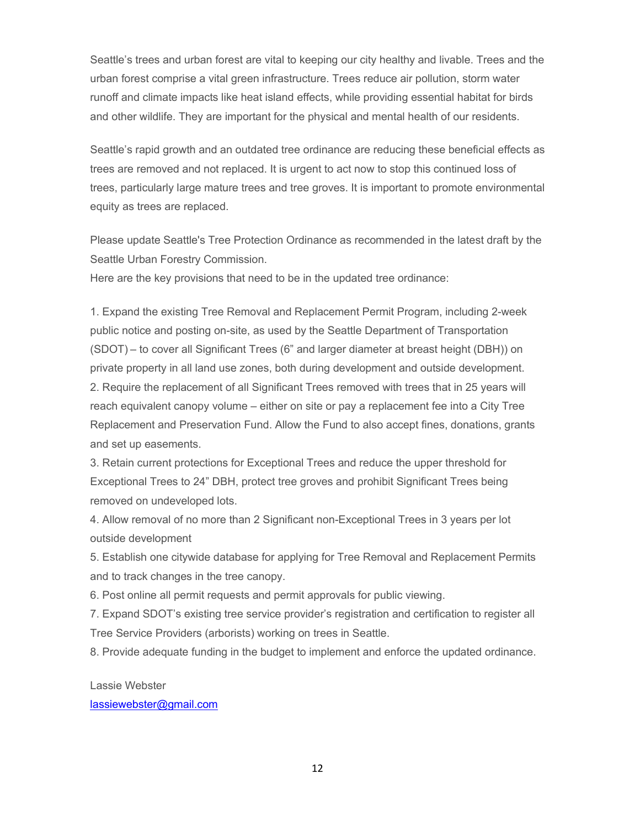Seattle's trees and urban forest are vital to keeping our city healthy and livable. Trees and the urban forest comprise a vital green infrastructure. Trees reduce air pollution, storm water runoff and climate impacts like heat island effects, while providing essential habitat for birds and other wildlife. They are important for the physical and mental health of our residents.

Seattle's rapid growth and an outdated tree ordinance are reducing these beneficial effects as trees are removed and not replaced. It is urgent to act now to stop this continued loss of trees, particularly large mature trees and tree groves. It is important to promote environmental equity as trees are replaced.

Please update Seattle's Tree Protection Ordinance as recommended in the latest draft by the Seattle Urban Forestry Commission.

Here are the key provisions that need to be in the updated tree ordinance:

1. Expand the existing Tree Removal and Replacement Permit Program, including 2-week public notice and posting on-site, as used by the Seattle Department of Transportation (SDOT) – to cover all Significant Trees (6" and larger diameter at breast height (DBH)) on private property in all land use zones, both during development and outside development. 2. Require the replacement of all Significant Trees removed with trees that in 25 years will reach equivalent canopy volume – either on site or pay a replacement fee into a City Tree Replacement and Preservation Fund. Allow the Fund to also accept fines, donations, grants and set up easements.

3. Retain current protections for Exceptional Trees and reduce the upper threshold for Exceptional Trees to 24" DBH, protect tree groves and prohibit Significant Trees being removed on undeveloped lots.

4. Allow removal of no more than 2 Significant non-Exceptional Trees in 3 years per lot outside development

5. Establish one citywide database for applying for Tree Removal and Replacement Permits and to track changes in the tree canopy.

6. Post online all permit requests and permit approvals for public viewing.

7. Expand SDOT's existing tree service provider's registration and certification to register all Tree Service Providers (arborists) working on trees in Seattle.

8. Provide adequate funding in the budget to implement and enforce the updated ordinance.

Lassie Webster [lassiewebster@gmail.com](mailto:lassiewebster@gmail.com)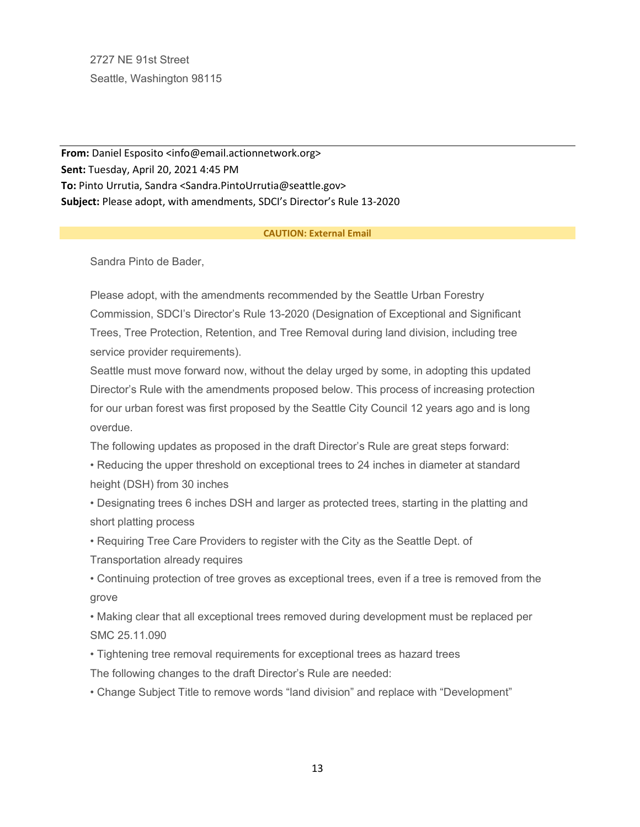2727 NE 91st Street Seattle, Washington 98115

**From:** Daniel Esposito <info@email.actionnetwork.org> **Sent:** Tuesday, April 20, 2021 4:45 PM **To:** Pinto Urrutia, Sandra <Sandra.PintoUrrutia@seattle.gov> **Subject:** Please adopt, with amendments, SDCI's Director's Rule 13-2020

#### **CAUTION: External Email**

Sandra Pinto de Bader,

Please adopt, with the amendments recommended by the Seattle Urban Forestry Commission, SDCI's Director's Rule 13-2020 (Designation of Exceptional and Significant Trees, Tree Protection, Retention, and Tree Removal during land division, including tree service provider requirements).

Seattle must move forward now, without the delay urged by some, in adopting this updated Director's Rule with the amendments proposed below. This process of increasing protection for our urban forest was first proposed by the Seattle City Council 12 years ago and is long overdue.

The following updates as proposed in the draft Director's Rule are great steps forward:

• Reducing the upper threshold on exceptional trees to 24 inches in diameter at standard height (DSH) from 30 inches

• Designating trees 6 inches DSH and larger as protected trees, starting in the platting and short platting process

• Requiring Tree Care Providers to register with the City as the Seattle Dept. of Transportation already requires

• Continuing protection of tree groves as exceptional trees, even if a tree is removed from the grove

• Making clear that all exceptional trees removed during development must be replaced per SMC 25.11.090

• Tightening tree removal requirements for exceptional trees as hazard trees

The following changes to the draft Director's Rule are needed:

• Change Subject Title to remove words "land division" and replace with "Development"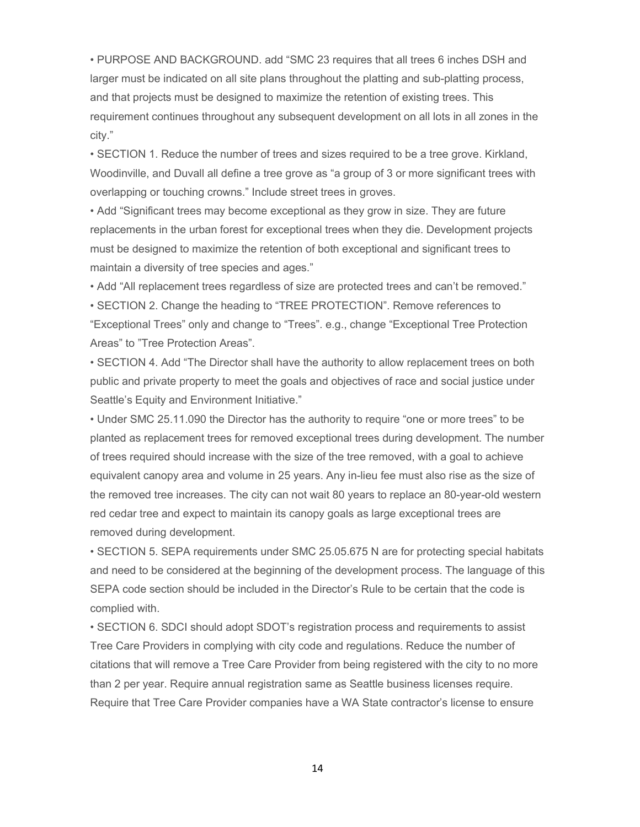• PURPOSE AND BACKGROUND. add "SMC 23 requires that all trees 6 inches DSH and larger must be indicated on all site plans throughout the platting and sub-platting process, and that projects must be designed to maximize the retention of existing trees. This requirement continues throughout any subsequent development on all lots in all zones in the city."

• SECTION 1. Reduce the number of trees and sizes required to be a tree grove. Kirkland, Woodinville, and Duvall all define a tree grove as "a group of 3 or more significant trees with overlapping or touching crowns." Include street trees in groves.

• Add "Significant trees may become exceptional as they grow in size. They are future replacements in the urban forest for exceptional trees when they die. Development projects must be designed to maximize the retention of both exceptional and significant trees to maintain a diversity of tree species and ages."

• Add "All replacement trees regardless of size are protected trees and can't be removed."

• SECTION 2. Change the heading to "TREE PROTECTION". Remove references to "Exceptional Trees" only and change to "Trees". e.g., change "Exceptional Tree Protection Areas" to "Tree Protection Areas".

• SECTION 4. Add "The Director shall have the authority to allow replacement trees on both public and private property to meet the goals and objectives of race and social justice under Seattle's Equity and Environment Initiative."

• Under SMC 25.11.090 the Director has the authority to require "one or more trees" to be planted as replacement trees for removed exceptional trees during development. The number of trees required should increase with the size of the tree removed, with a goal to achieve equivalent canopy area and volume in 25 years. Any in-lieu fee must also rise as the size of the removed tree increases. The city can not wait 80 years to replace an 80-year-old western red cedar tree and expect to maintain its canopy goals as large exceptional trees are removed during development.

• SECTION 5. SEPA requirements under SMC 25.05.675 N are for protecting special habitats and need to be considered at the beginning of the development process. The language of this SEPA code section should be included in the Director's Rule to be certain that the code is complied with.

• SECTION 6. SDCI should adopt SDOT's registration process and requirements to assist Tree Care Providers in complying with city code and regulations. Reduce the number of citations that will remove a Tree Care Provider from being registered with the city to no more than 2 per year. Require annual registration same as Seattle business licenses require. Require that Tree Care Provider companies have a WA State contractor's license to ensure

14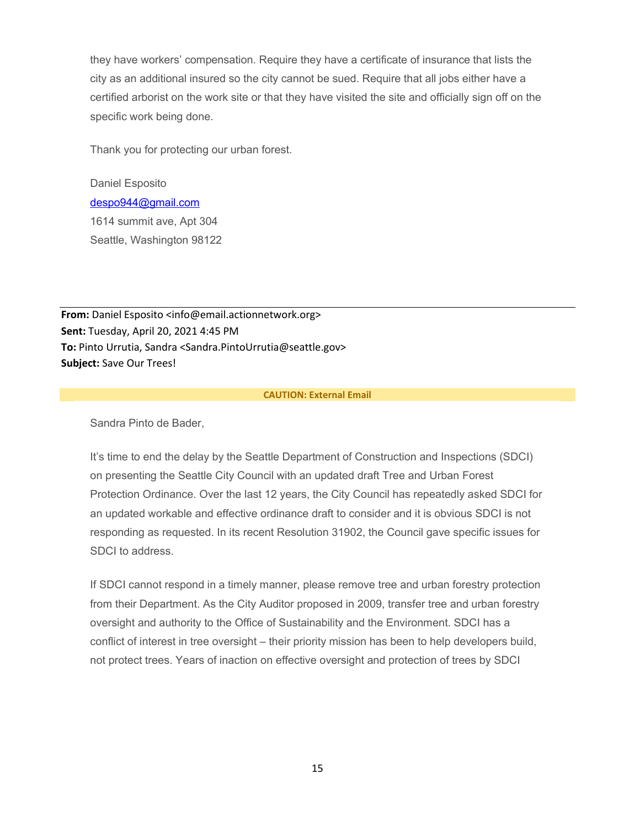they have workers' compensation. Require they have a certificate of insurance that lists the city as an additional insured so the city cannot be sued. Require that all jobs either have a certified arborist on the work site or that they have visited the site and officially sign off on the specific work being done.

Thank you for protecting our urban forest.

Daniel Esposito [despo944@gmail.com](mailto:despo944@gmail.com) 1614 summit ave, Apt 304 Seattle, Washington 98122

**From:** Daniel Esposito <info@email.actionnetwork.org> **Sent:** Tuesday, April 20, 2021 4:45 PM **To:** Pinto Urrutia, Sandra <Sandra.PintoUrrutia@seattle.gov> **Subject:** Save Our Trees!

#### **CAUTION: External Email**

Sandra Pinto de Bader,

It's time to end the delay by the Seattle Department of Construction and Inspections (SDCI) on presenting the Seattle City Council with an updated draft Tree and Urban Forest Protection Ordinance. Over the last 12 years, the City Council has repeatedly asked SDCI for an updated workable and effective ordinance draft to consider and it is obvious SDCI is not responding as requested. In its recent Resolution 31902, the Council gave specific issues for SDCI to address.

If SDCI cannot respond in a timely manner, please remove tree and urban forestry protection from their Department. As the City Auditor proposed in 2009, transfer tree and urban forestry oversight and authority to the Office of Sustainability and the Environment. SDCI has a conflict of interest in tree oversight – their priority mission has been to help developers build, not protect trees. Years of inaction on effective oversight and protection of trees by SDCI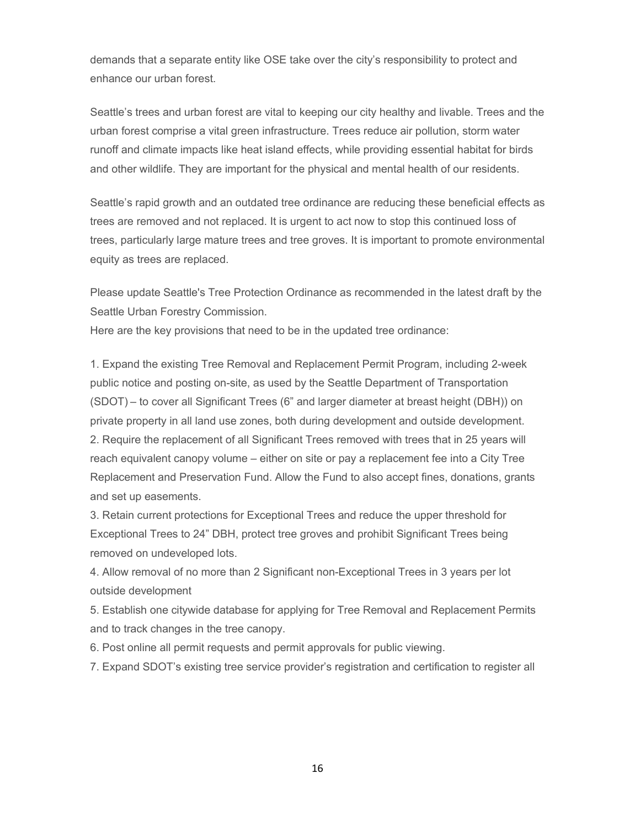demands that a separate entity like OSE take over the city's responsibility to protect and enhance our urban forest.

Seattle's trees and urban forest are vital to keeping our city healthy and livable. Trees and the urban forest comprise a vital green infrastructure. Trees reduce air pollution, storm water runoff and climate impacts like heat island effects, while providing essential habitat for birds and other wildlife. They are important for the physical and mental health of our residents.

Seattle's rapid growth and an outdated tree ordinance are reducing these beneficial effects as trees are removed and not replaced. It is urgent to act now to stop this continued loss of trees, particularly large mature trees and tree groves. It is important to promote environmental equity as trees are replaced.

Please update Seattle's Tree Protection Ordinance as recommended in the latest draft by the Seattle Urban Forestry Commission.

Here are the key provisions that need to be in the updated tree ordinance:

1. Expand the existing Tree Removal and Replacement Permit Program, including 2-week public notice and posting on-site, as used by the Seattle Department of Transportation (SDOT) – to cover all Significant Trees (6" and larger diameter at breast height (DBH)) on private property in all land use zones, both during development and outside development. 2. Require the replacement of all Significant Trees removed with trees that in 25 years will reach equivalent canopy volume – either on site or pay a replacement fee into a City Tree Replacement and Preservation Fund. Allow the Fund to also accept fines, donations, grants and set up easements.

3. Retain current protections for Exceptional Trees and reduce the upper threshold for Exceptional Trees to 24" DBH, protect tree groves and prohibit Significant Trees being removed on undeveloped lots.

4. Allow removal of no more than 2 Significant non-Exceptional Trees in 3 years per lot outside development

5. Establish one citywide database for applying for Tree Removal and Replacement Permits and to track changes in the tree canopy.

6. Post online all permit requests and permit approvals for public viewing.

7. Expand SDOT's existing tree service provider's registration and certification to register all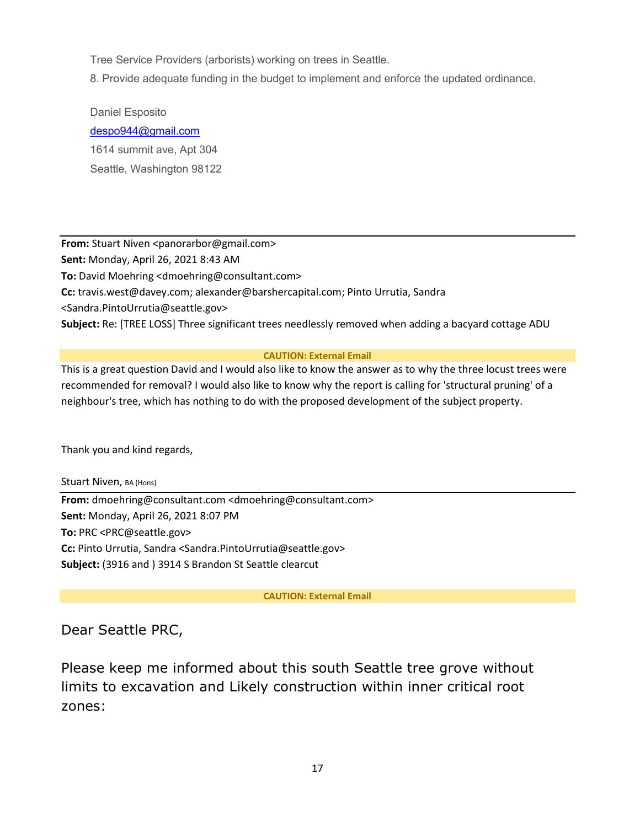Tree Service Providers (arborists) working on trees in Seattle.

8. Provide adequate funding in the budget to implement and enforce the updated ordinance.

Daniel Esposito [despo944@gmail.com](mailto:despo944@gmail.com) 1614 summit ave, Apt 304 Seattle, Washington 98122

**From:** Stuart Niven <panorarbor@gmail.com> **Sent:** Monday, April 26, 2021 8:43 AM **To:** David Moehring <dmoehring@consultant.com> **Cc:** travis.west@davey.com; alexander@barshercapital.com; Pinto Urrutia, Sandra <Sandra.PintoUrrutia@seattle.gov> **Subject:** Re: [TREE LOSS] Three significant trees needlessly removed when adding a bacyard cottage ADU

# **CAUTION: External Email**

This is a great question David and I would also like to know the answer as to why the three locust trees were recommended for removal? I would also like to know why the report is calling for 'structural pruning' of a neighbour's tree, which has nothing to do with the proposed development of the subject property.

Thank you and kind regards,

Stuart Niven, BA (Hons) **From:** dmoehring@consultant.com <dmoehring@consultant.com> **Sent:** Monday, April 26, 2021 8:07 PM **To:** PRC <PRC@seattle.gov> **Cc:** Pinto Urrutia, Sandra <Sandra.PintoUrrutia@seattle.gov> **Subject:** (3916 and ) 3914 S Brandon St Seattle clearcut

# **CAUTION: External Email**

# Dear Seattle PRC,

Please keep me informed about this south Seattle tree grove without limits to excavation and Likely construction within inner critical root zones: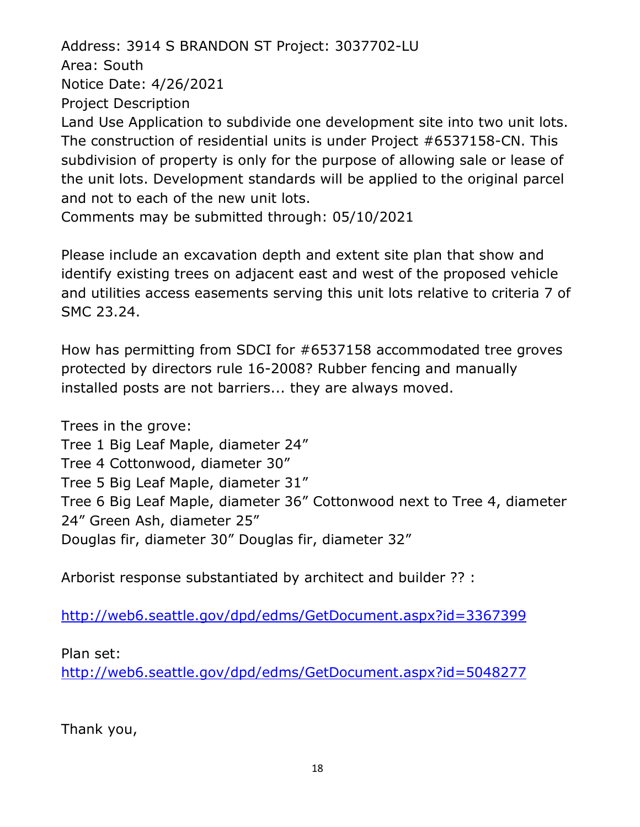Address: 3914 S BRANDON ST Project: 3037702-LU Area: South Notice Date: 4/26/2021 Project Description Land Use Application to subdivide one development site into two unit lots. The construction of residential units is under Project #6537158-CN. This subdivision of property is only for the purpose of allowing sale or lease of the unit lots. Development standards will be applied to the original parcel and not to each of the new unit lots. Comments may be submitted through: 05/10/2021

Please include an excavation depth and extent site plan that show and identify existing trees on adjacent east and west of the proposed vehicle and utilities access easements serving this unit lots relative to criteria 7 of SMC 23.24.

How has permitting from SDCI for #6537158 accommodated tree groves protected by directors rule 16-2008? Rubber fencing and manually installed posts are not barriers... they are always moved.

Trees in the grove:

Tree 1 Big Leaf Maple, diameter 24"

Tree 4 Cottonwood, diameter 30"

Tree 5 Big Leaf Maple, diameter 31"

Tree 6 Big Leaf Maple, diameter 36" Cottonwood next to Tree 4, diameter 24" Green Ash, diameter 25"

Douglas fir, diameter 30" Douglas fir, diameter 32"

Arborist response substantiated by architect and builder ?? :

<http://web6.seattle.gov/dpd/edms/GetDocument.aspx?id=3367399>

Plan set:

<http://web6.seattle.gov/dpd/edms/GetDocument.aspx?id=5048277>

Thank you,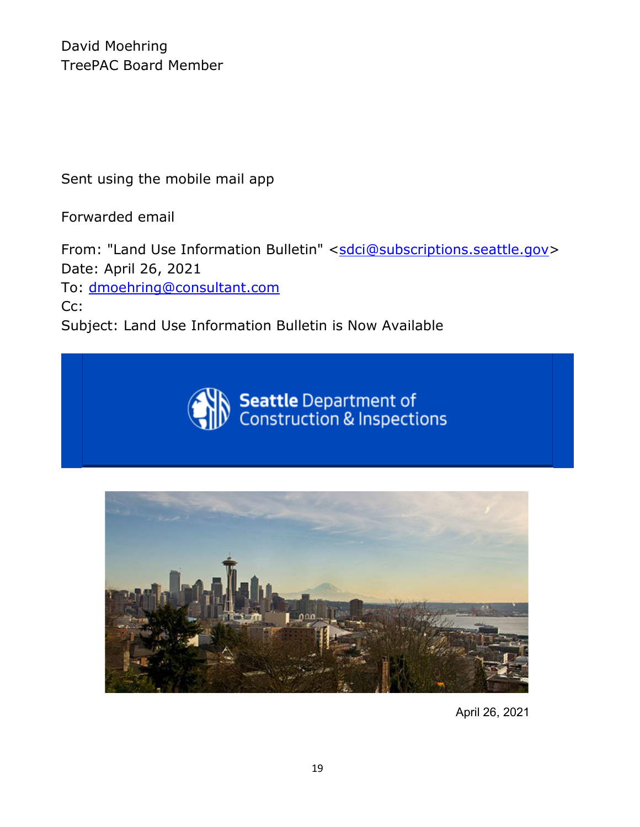David Moehring TreePAC Board Member

Sent using the mobile mail app

Forwarded email

From: "Land Use Information Bulletin" [<sdci@subscriptions.seattle.gov>](mailto:sdci@subscriptions.seattle.gov) Date: April 26, 2021 To: [dmoehring@consultant.com](mailto:dmoehring@consultant.com) Cc: Subject: Land Use Information Bulletin is Now Available





April 26, 2021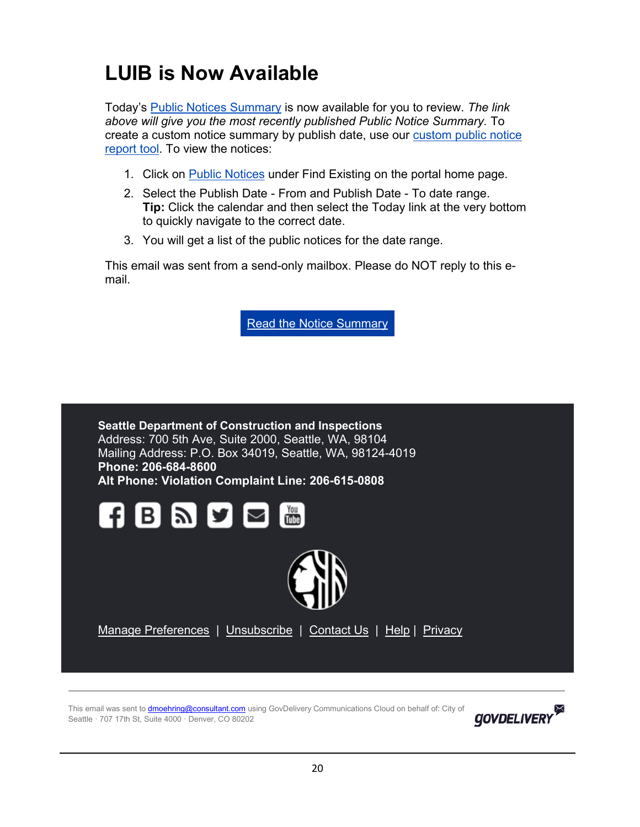# **LUIB is Now Available**

Today's [Public Notices Summary](https://protect2.fireeye.com/v1/url?k=fa91e7d4-a50adedc-fa91cf64-86e696e30194-9c9da2bea95706f0&q=1&e=eb973ab8-e412-4560-9937-83349c98af37&u=https%3A%2F%2Flnks.gd%2Fl%2FeyJhbGciOiJIUzI1NiJ9.eyJidWxsZXRpbl9saW5rX2lkIjoxMDAsInVyaSI6ImJwMjpjbGljayIsImJ1bGxldGluX2lkIjoiMjAyMTA0MjYuMzk0NDEwNTEiLCJ1cmwiOiJodHRwOi8vd3d3LnNlYXR0bGUuZ292L2RwZC9sdWliL1NEQ0kxMzJfUHVibGljTm90aWNlc1N1bW1hcnkucGRmP3V0bV9tZWRpdW09ZW1haWwmdXRtX3NvdXJjZT1nb3ZkZWxpdmVyeSJ9.bGLVoSIl53celUkb6n15KInr21xkXRqOkJmqTm4UemA%2Fs%2F934457529%2Fbr%2F105367565369-l) is now available for you to review. *The link above will give you the most recently published Public Notice Summary.* To create a custom notice summary by publish date, use our [custom public notice](https://protect2.fireeye.com/v1/url?k=9c7eae9b-c3e59793-9c7e862b-86e696e30194-b6df8a2b28ac67b2&q=1&e=eb973ab8-e412-4560-9937-83349c98af37&u=https%3A%2F%2Flnks.gd%2Fl%2FeyJhbGciOiJIUzI1NiJ9.eyJidWxsZXRpbl9saW5rX2lkIjoxMDEsInVyaSI6ImJwMjpjbGljayIsImJ1bGxldGluX2lkIjoiMjAyMTA0MjYuMzk0NDEwNTEiLCJ1cmwiOiJodHRwczovL2Nvc2FjY2VsYS5zZWF0dGxlLmdvdi9Qb3J0YWwvUmVwb3J0L1JlcG9ydFBhcmFtZXRlci5hc3B4P21vZHVsZT1EUERQdWJsaWNOb3RpY2UmcmVwb3J0SUQ9MzMzJnJlcG9ydFR5cGU9TElOS19SRVBPUlRfTElTVCZ1dG1fbWVkaXVtPWVtYWlsJnV0bV9zb3VyY2U9Z292ZGVsaXZlcnkifQ.O88qF_hhfadMjrPQ_dHeAiJLB7ZvkH0fCLMTjgUnq8U%2Fs%2F934457529%2Fbr%2F105367565369-l)  [report tool.](https://protect2.fireeye.com/v1/url?k=9c7eae9b-c3e59793-9c7e862b-86e696e30194-b6df8a2b28ac67b2&q=1&e=eb973ab8-e412-4560-9937-83349c98af37&u=https%3A%2F%2Flnks.gd%2Fl%2FeyJhbGciOiJIUzI1NiJ9.eyJidWxsZXRpbl9saW5rX2lkIjoxMDEsInVyaSI6ImJwMjpjbGljayIsImJ1bGxldGluX2lkIjoiMjAyMTA0MjYuMzk0NDEwNTEiLCJ1cmwiOiJodHRwczovL2Nvc2FjY2VsYS5zZWF0dGxlLmdvdi9Qb3J0YWwvUmVwb3J0L1JlcG9ydFBhcmFtZXRlci5hc3B4P21vZHVsZT1EUERQdWJsaWNOb3RpY2UmcmVwb3J0SUQ9MzMzJnJlcG9ydFR5cGU9TElOS19SRVBPUlRfTElTVCZ1dG1fbWVkaXVtPWVtYWlsJnV0bV9zb3VyY2U9Z292ZGVsaXZlcnkifQ.O88qF_hhfadMjrPQ_dHeAiJLB7ZvkH0fCLMTjgUnq8U%2Fs%2F934457529%2Fbr%2F105367565369-l) To view the notices:

- 1. Click on [Public Notices](https://protect2.fireeye.com/v1/url?k=b44eae12-ebd5971a-b44e86a2-86e696e30194-fd29d98208d4b520&q=1&e=eb973ab8-e412-4560-9937-83349c98af37&u=https%3A%2F%2Flnks.gd%2Fl%2FeyJhbGciOiJIUzI1NiJ9.eyJidWxsZXRpbl9saW5rX2lkIjoxMDIsInVyaSI6ImJwMjpjbGljayIsImJ1bGxldGluX2lkIjoiMjAyMTA0MjYuMzk0NDEwNTEiLCJ1cmwiOiJodHRwczovL2Nvc2FjY2VsYS5zZWF0dGxlLmdvdi9wb3J0YWwvQ2FwL0NhcEhvbWUuYXNweD9UYWJOYW1lPURQRFB1YmxpY05vdGljZSZtb2R1bGU9RFBEUHVibGljTm90aWNlJnV0bV9tZWRpdW09ZW1haWwmdXRtX3NvdXJjZT1nb3ZkZWxpdmVyeSNTZWFyY2hGb3JtX1N0YXJ0In0.JqPmTbg6i4-NvKFpCFiMrADCGrVSmiJ_EXOGLz3DAs8%2Fs%2F934457529%2Fbr%2F105367565369-l) under Find Existing on the portal home page.
- 2. Select the Publish Date From and Publish Date To date range. **Tip:** Click the calendar and then select the Today link at the very bottom to quickly navigate to the correct date.
- 3. You will get a list of the public notices for the date range.

This email was sent from a send-only mailbox. Please do NOT reply to this email.

Read the Notice [Summary](https://protect2.fireeye.com/v1/url?k=3b9a8631-6401bf39-3b9aae81-86e696e30194-c1c95ff41f31c1a7&q=1&e=eb973ab8-e412-4560-9937-83349c98af37&u=https%3A%2F%2Flnks.gd%2Fl%2FeyJhbGciOiJIUzI1NiJ9.eyJidWxsZXRpbl9saW5rX2lkIjoxMDMsInVyaSI6ImJwMjpjbGljayIsImJ1bGxldGluX2lkIjoiMjAyMTA0MjYuMzk0NDEwNTEiLCJ1cmwiOiJodHRwOi8vd3d3LnNlYXR0bGUuZ292L2RwZC9sdWliL1NEQ0kxMzJfUHVibGljTm90aWNlc1N1bW1hcnkucGRmP3V0bV9tZWRpdW09ZW1haWwmdXRtX3NvdXJjZT1nb3ZkZWxpdmVyeSJ9.pX-a-F8ZIjTLjx6wC_taPA85pkANULxekTfYTghB3Yw%2Fs%2F934457529%2Fbr%2F105367565369-l)



This email was sent to *dmoehring@consultant.com* using GovDelivery Communications Cloud on behalf of: City of Seattle · 707 17th St, Suite 4000 · Denver, CO 80202